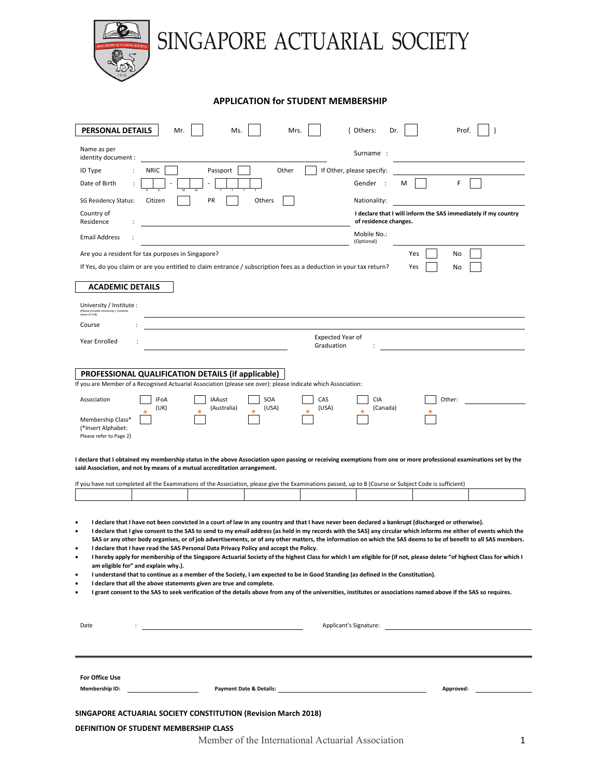

## **APPLICATION for STUDENT MEMBERSHIP**

| PERSONAL DETAILS                                                                                                                                                                                                                                                                                                                      | Mr.<br>Ms<br>Mrs                                                                                                                                                                                                                                | { Others:<br>Dr.<br>Pro                                                        |  |  |  |  |  |
|---------------------------------------------------------------------------------------------------------------------------------------------------------------------------------------------------------------------------------------------------------------------------------------------------------------------------------------|-------------------------------------------------------------------------------------------------------------------------------------------------------------------------------------------------------------------------------------------------|--------------------------------------------------------------------------------|--|--|--|--|--|
| Name as per                                                                                                                                                                                                                                                                                                                           |                                                                                                                                                                                                                                                 | Surname :                                                                      |  |  |  |  |  |
| identity document :                                                                                                                                                                                                                                                                                                                   |                                                                                                                                                                                                                                                 |                                                                                |  |  |  |  |  |
| ID Type<br>Date of Birth                                                                                                                                                                                                                                                                                                              | Other<br><b>NRIC</b><br>Passport                                                                                                                                                                                                                | If Other, please specify:<br>F<br>Gender :<br>м                                |  |  |  |  |  |
|                                                                                                                                                                                                                                                                                                                                       | PR                                                                                                                                                                                                                                              |                                                                                |  |  |  |  |  |
| <b>SG Residency Status:</b><br>Country of                                                                                                                                                                                                                                                                                             | Others<br>Citizen                                                                                                                                                                                                                               | Nationality:<br>I declare that I will inform the SAS immediately if my country |  |  |  |  |  |
| Residence                                                                                                                                                                                                                                                                                                                             |                                                                                                                                                                                                                                                 | of residence changes.                                                          |  |  |  |  |  |
| <b>Email Address</b>                                                                                                                                                                                                                                                                                                                  |                                                                                                                                                                                                                                                 | Mobile No.:<br>(Optional)                                                      |  |  |  |  |  |
|                                                                                                                                                                                                                                                                                                                                       | Are you a resident for tax purposes in Singapore?                                                                                                                                                                                               | Yes<br>No                                                                      |  |  |  |  |  |
|                                                                                                                                                                                                                                                                                                                                       | If Yes, do you claim or are you entitled to claim entrance / subscription fees as a deduction in your tax return?                                                                                                                               | Yes<br>No                                                                      |  |  |  |  |  |
| <b>ACADEMIC DETAILS</b>                                                                                                                                                                                                                                                                                                               |                                                                                                                                                                                                                                                 |                                                                                |  |  |  |  |  |
| University / Institute :<br>(Please provide University / Institute                                                                                                                                                                                                                                                                    |                                                                                                                                                                                                                                                 |                                                                                |  |  |  |  |  |
| name in Full)<br>Course                                                                                                                                                                                                                                                                                                               |                                                                                                                                                                                                                                                 |                                                                                |  |  |  |  |  |
| <b>Year Enrolled</b>                                                                                                                                                                                                                                                                                                                  | <b>Expected Year of</b>                                                                                                                                                                                                                         |                                                                                |  |  |  |  |  |
|                                                                                                                                                                                                                                                                                                                                       | Graduation                                                                                                                                                                                                                                      |                                                                                |  |  |  |  |  |
|                                                                                                                                                                                                                                                                                                                                       | PROFESSIONAL QUALIFICATION DETAILS (if applicable)                                                                                                                                                                                              |                                                                                |  |  |  |  |  |
|                                                                                                                                                                                                                                                                                                                                       | If you are Member of a Recognised Actuarial Association (please see over): please indicate which Association:                                                                                                                                   |                                                                                |  |  |  |  |  |
| Association                                                                                                                                                                                                                                                                                                                           | <b>IAAust</b><br>SOA<br>CAS<br>IFoA                                                                                                                                                                                                             | CIA<br>Other:                                                                  |  |  |  |  |  |
| Membership Class*                                                                                                                                                                                                                                                                                                                     | (UK)<br>(USA)<br>(USA)<br>(Australia)                                                                                                                                                                                                           | (Canada)                                                                       |  |  |  |  |  |
| (*Insert Alphabet:<br>Please refer to Page 2)                                                                                                                                                                                                                                                                                         |                                                                                                                                                                                                                                                 |                                                                                |  |  |  |  |  |
|                                                                                                                                                                                                                                                                                                                                       |                                                                                                                                                                                                                                                 |                                                                                |  |  |  |  |  |
|                                                                                                                                                                                                                                                                                                                                       | I declare that I obtained my membership status in the above Association upon passing or receiving exemptions from one or more professional examinations set by the<br>said Association, and not by means of a mutual accreditation arrangement. |                                                                                |  |  |  |  |  |
|                                                                                                                                                                                                                                                                                                                                       |                                                                                                                                                                                                                                                 |                                                                                |  |  |  |  |  |
|                                                                                                                                                                                                                                                                                                                                       | If you have not completed all the Examinations of the Association, please give the Examinations passed, up to 8 (Course or Subject Code is sufficient)                                                                                          |                                                                                |  |  |  |  |  |
|                                                                                                                                                                                                                                                                                                                                       |                                                                                                                                                                                                                                                 |                                                                                |  |  |  |  |  |
| ٠                                                                                                                                                                                                                                                                                                                                     | I declare that I have not been convicted in a court of law in any country and that I have never been declared a bankrupt (discharged or otherwise).                                                                                             |                                                                                |  |  |  |  |  |
| I declare that I give consent to the SAS to send to my email address (as held in my records with the SAS) any circular which informs me either of events which the<br>SAS or any other body organises, or of job advertisements, or of any other matters, the information on which the SAS deems to be of benefit to all SAS members. |                                                                                                                                                                                                                                                 |                                                                                |  |  |  |  |  |
| I declare that I have read the SAS Personal Data Privacy Policy and accept the Policy.                                                                                                                                                                                                                                                |                                                                                                                                                                                                                                                 |                                                                                |  |  |  |  |  |
| am eligible for" and explain why.).                                                                                                                                                                                                                                                                                                   | I hereby apply for membership of the Singapore Actuarial Society of the highest Class for which I am eligible for (if not, please delete "of highest Class for which I                                                                          |                                                                                |  |  |  |  |  |
| I understand that to continue as a member of the Society, I am expected to be in Good Standing (as defined in the Constitution).<br>I declare that all the above statements given are true and complete.                                                                                                                              |                                                                                                                                                                                                                                                 |                                                                                |  |  |  |  |  |
|                                                                                                                                                                                                                                                                                                                                       | I grant consent to the SAS to seek verification of the details above from any of the universities, institutes or associations named above if the SAS so requires.                                                                               |                                                                                |  |  |  |  |  |
|                                                                                                                                                                                                                                                                                                                                       |                                                                                                                                                                                                                                                 |                                                                                |  |  |  |  |  |
| Date                                                                                                                                                                                                                                                                                                                                  |                                                                                                                                                                                                                                                 | Applicant's Signature: Applicant of Separature:                                |  |  |  |  |  |
|                                                                                                                                                                                                                                                                                                                                       |                                                                                                                                                                                                                                                 |                                                                                |  |  |  |  |  |
|                                                                                                                                                                                                                                                                                                                                       |                                                                                                                                                                                                                                                 |                                                                                |  |  |  |  |  |
| For Office Use                                                                                                                                                                                                                                                                                                                        |                                                                                                                                                                                                                                                 |                                                                                |  |  |  |  |  |
| <b>Membership ID:</b>                                                                                                                                                                                                                                                                                                                 | Payment Date & Details: Notified that the state of the state of the state of the state of the state of the state of the state of the state of the state of the state of the state of the state of the state of the state of th                  | Approved:                                                                      |  |  |  |  |  |
|                                                                                                                                                                                                                                                                                                                                       |                                                                                                                                                                                                                                                 |                                                                                |  |  |  |  |  |
| SINGAPORE ACTUARIAL SOCIETY CONSTITUTION (Revision March 2018)                                                                                                                                                                                                                                                                        |                                                                                                                                                                                                                                                 |                                                                                |  |  |  |  |  |
| DEFINITION OF STUDENT MEMBERSHIP CLASS<br>Member of the International Actuarial Association                                                                                                                                                                                                                                           |                                                                                                                                                                                                                                                 |                                                                                |  |  |  |  |  |
|                                                                                                                                                                                                                                                                                                                                       |                                                                                                                                                                                                                                                 | 1                                                                              |  |  |  |  |  |